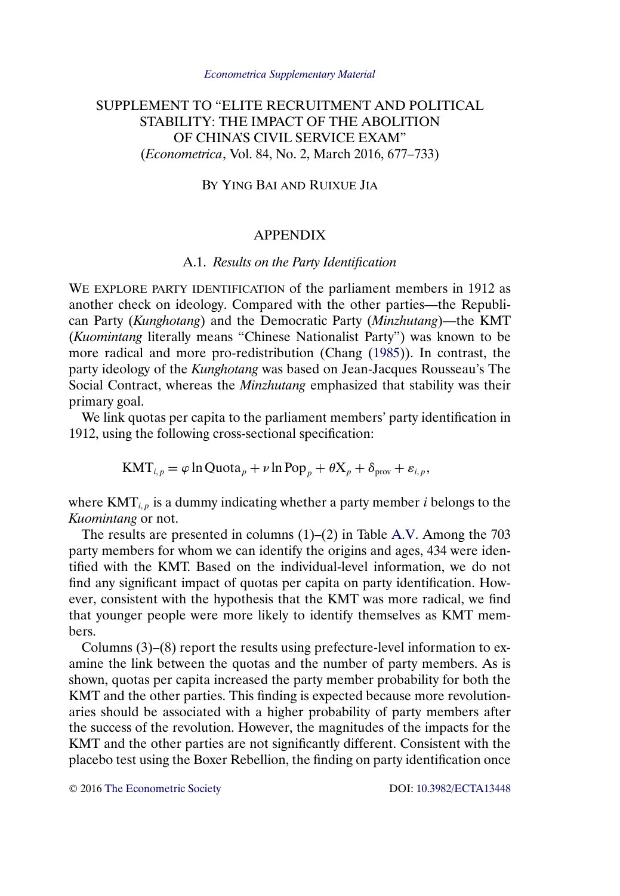# <span id="page-0-0"></span>SUPPLEMENT TO "ELITE RECRUITMENT AND POLITICAL STABILITY: THE IMPACT OF THE ABOLITION OF CHINA'S CIVIL SERVICE EXAM" (*Econometrica*, Vol. 84, No. 2, March 2016, 677–733)

BY YING BAI AND RUIXUE JIA

# APPENDIX

# A.1. *Results on the Party Identification*

WE EXPLORE PARTY IDENTIFICATION of the parliament members in 1912 as another check on ideology. Compared with the other parties—the Republican Party (*Kunghotang*) and the Democratic Party (*Minzhutang*)—the KMT (*Kuomintang* literally means "Chinese Nationalist Party") was known to be more radical and more pro-redistribution (Chang [\(1985\)](#page-17-0)). In contrast, the party ideology of the *Kunghotang* was based on Jean-Jacques Rousseau's The Social Contract, whereas the *Minzhutang* emphasized that stability was their primary goal.

We link quotas per capita to the parliament members' party identification in 1912, using the following cross-sectional specification:

 $\text{KMT}_{i,p} = \varphi \ln \text{Quota}_p + \nu \ln \text{Pop}_p + \theta \text{X}_p + \delta_{\text{prov}} + \varepsilon_{i,p},$ 

where  $KMT_{i,p}$  is a dummy indicating whether a party member *i* belongs to the *Kuomintang* or not.

The results are presented in columns (1)–(2) in Table [A.V.](#page-13-0) Among the 703 party members for whom we can identify the origins and ages, 434 were identified with the KMT. Based on the individual-level information, we do not find any significant impact of quotas per capita on party identification. However, consistent with the hypothesis that the KMT was more radical, we find that younger people were more likely to identify themselves as KMT members.

Columns (3)–(8) report the results using prefecture-level information to examine the link between the quotas and the number of party members. As is shown, quotas per capita increased the party member probability for both the KMT and the other parties. This finding is expected because more revolutionaries should be associated with a higher probability of party members after the success of the revolution. However, the magnitudes of the impacts for the KMT and the other parties are not significantly different. Consistent with the placebo test using the Boxer Rebellion, the finding on party identification once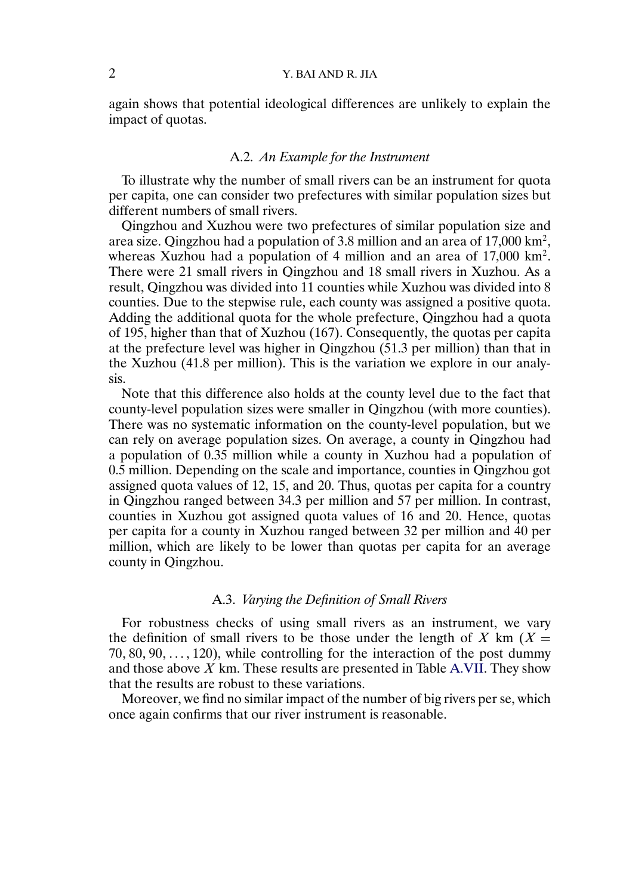# 2 Y. BAI AND R. JIA

again shows that potential ideological differences are unlikely to explain the impact of quotas.

#### A.2. *An Example for the Instrument*

To illustrate why the number of small rivers can be an instrument for quota per capita, one can consider two prefectures with similar population sizes but different numbers of small rivers.

Qingzhou and Xuzhou were two prefectures of similar population size and area size. Qingzhou had a population of 3.8 million and an area of  $17,000 \text{ km}^2$ , whereas Xuzhou had a population of 4 million and an area of 17,000 km2. There were 21 small rivers in Qingzhou and 18 small rivers in Xuzhou. As a result, Qingzhou was divided into 11 counties while Xuzhou was divided into 8 counties. Due to the stepwise rule, each county was assigned a positive quota. Adding the additional quota for the whole prefecture, Qingzhou had a quota of 195, higher than that of Xuzhou (167). Consequently, the quotas per capita at the prefecture level was higher in Qingzhou (51.3 per million) than that in the Xuzhou (41.8 per million). This is the variation we explore in our analysis.

Note that this difference also holds at the county level due to the fact that county-level population sizes were smaller in Qingzhou (with more counties). There was no systematic information on the county-level population, but we can rely on average population sizes. On average, a county in Qingzhou had a population of 0.35 million while a county in Xuzhou had a population of 0.5 million. Depending on the scale and importance, counties in Qingzhou got assigned quota values of 12, 15, and 20. Thus, quotas per capita for a country in Qingzhou ranged between 34.3 per million and 57 per million. In contrast, counties in Xuzhou got assigned quota values of 16 and 20. Hence, quotas per capita for a county in Xuzhou ranged between 32 per million and 40 per million, which are likely to be lower than quotas per capita for an average county in Qingzhou.

## A.3. *Varying the Definition of Small Rivers*

For robustness checks of using small rivers as an instrument, we vary the definition of small rivers to be those under the length of X km ( $X =$  $70, 80, 90, \ldots, 120$ , while controlling for the interaction of the post dummy and those above  $X$  km. These results are presented in Table [A.VII.](#page-15-0) They show that the results are robust to these variations.

Moreover, we find no similar impact of the number of big rivers per se, which once again confirms that our river instrument is reasonable.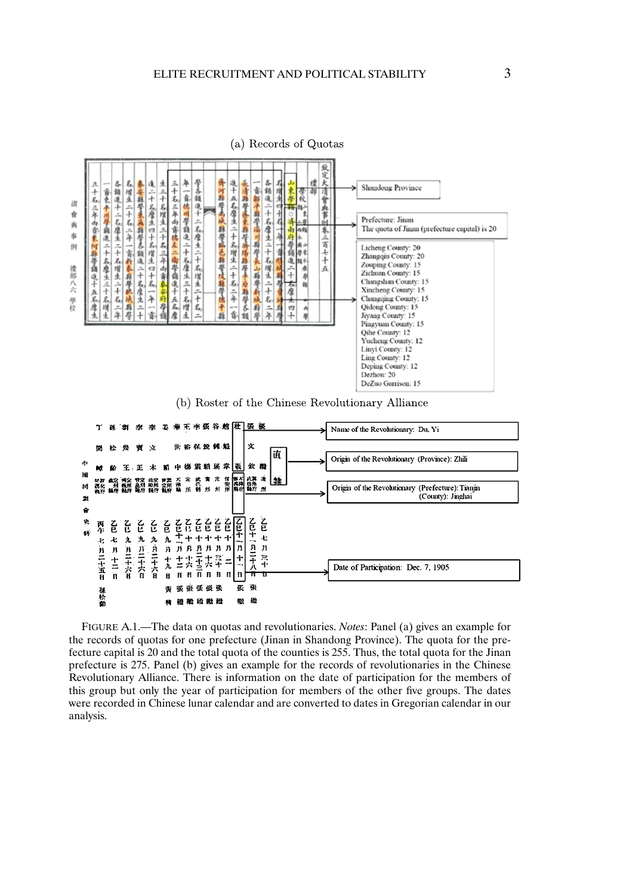

(a) Records of Quotas





FIGURE A.1.—The data on quotas and revolutionaries. *Notes*: Panel (a) gives an example for the records of quotas for one prefecture (Jinan in Shandong Province). The quota for the prefecture capital is 20 and the total quota of the counties is 255. Thus, the total quota for the Jinan prefecture is 275. Panel (b) gives an example for the records of revolutionaries in the Chinese Revolutionary Alliance. There is information on the date of participation for the members of this group but only the year of participation for members of the other five groups. The dates were recorded in Chinese lunar calendar and are converted to dates in Gregorian calendar in our analysis.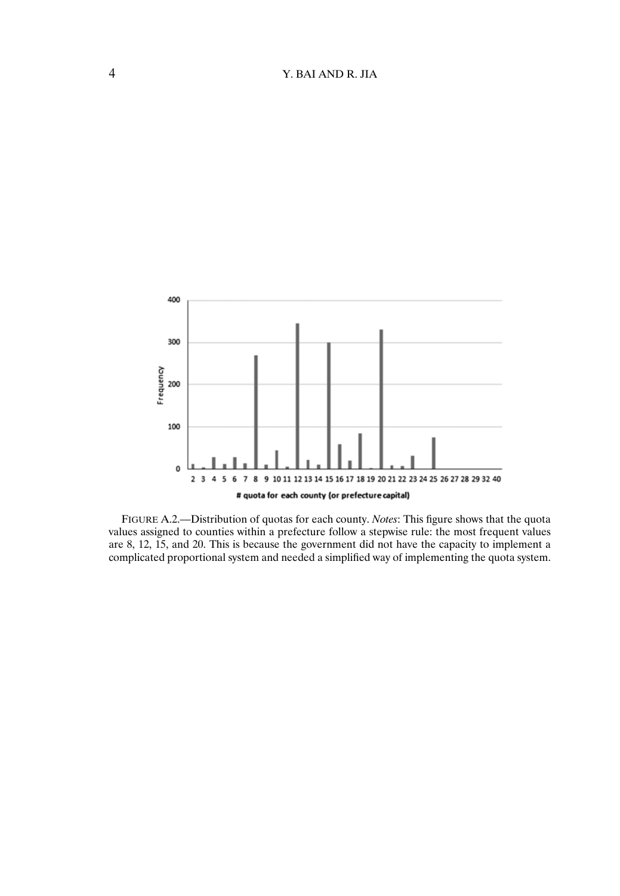

FIGURE A.2.—Distribution of quotas for each county. *Notes*: This figure shows that the quota values assigned to counties within a prefecture follow a stepwise rule: the most frequent values are 8, 12, 15, and 20. This is because the government did not have the capacity to implement a complicated proportional system and needed a simplified way of implementing the quota system.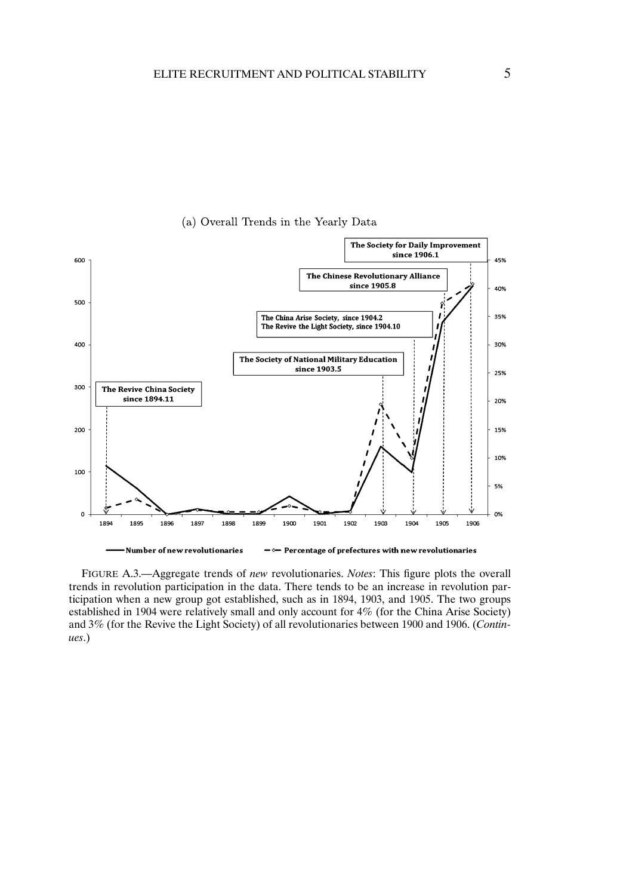



FIGURE A.3.—Aggregate trends of *new* revolutionaries. *Notes*: This figure plots the overall trends in revolution participation in the data. There tends to be an increase in revolution participation when a new group got established, such as in 1894, 1903, and 1905. The two groups established in 1904 were relatively small and only account for 4% (for the China Arise Society) and 3% (for the Revive the Light Society) of all revolutionaries between 1900 and 1906. (*Continues*.)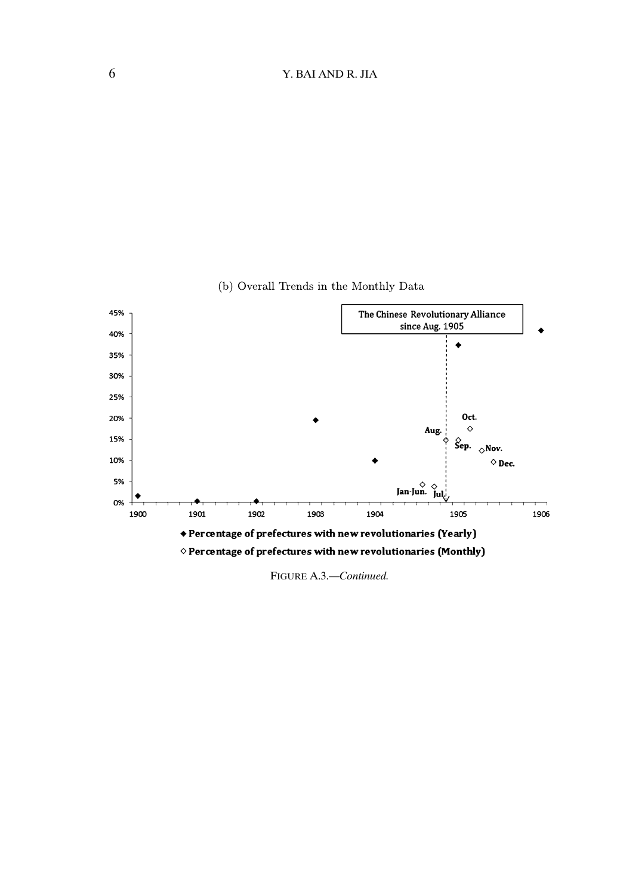

(b) Overall Trends in the Monthly Data

FIGURE A.3.—*Continued.*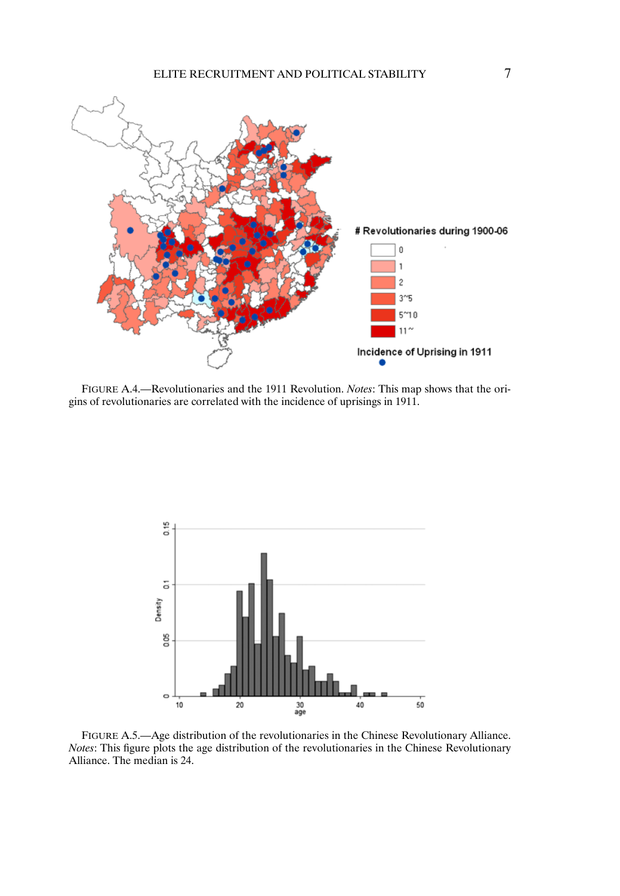

FIGURE A.4.—Revolutionaries and the 1911 Revolution. *Notes*: This map shows that the origins of revolutionaries are correlated with the incidence of uprisings in 1911.



FIGURE A.5.—Age distribution of the revolutionaries in the Chinese Revolutionary Alliance. *Notes*: This figure plots the age distribution of the revolutionaries in the Chinese Revolutionary Alliance. The median is 24.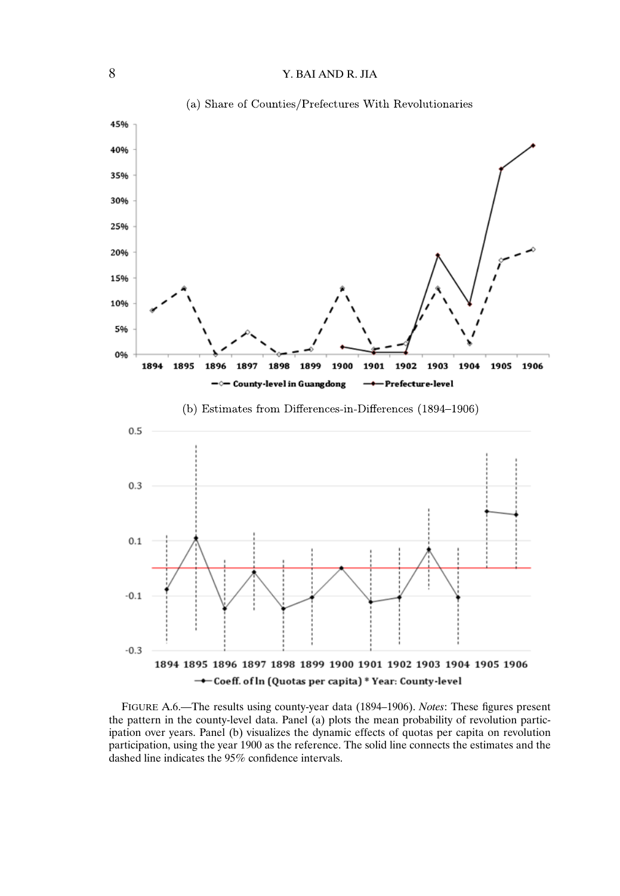

FIGURE A.6.—The results using county-year data (1894–1906). *Notes*: These figures present the pattern in the county-level data. Panel (a) plots the mean probability of revolution participation over years. Panel (b) visualizes the dynamic effects of quotas per capita on revolution participation, using the year 1900 as the reference. The solid line connects the estimates and the dashed line indicates the 95% confidence intervals.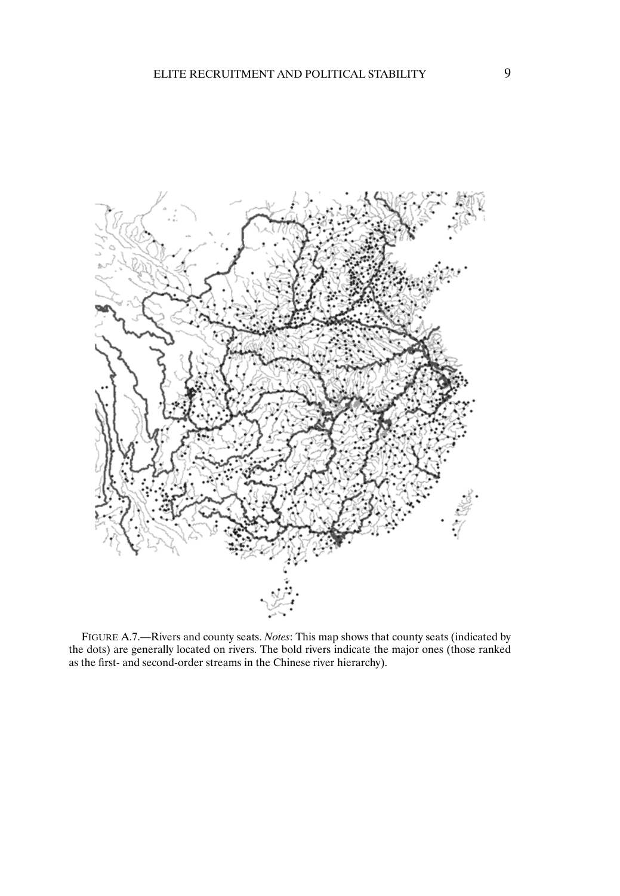

FIGURE A.7.—Rivers and county seats. *Notes*: This map shows that county seats (indicated by the dots) are generally located on rivers. The bold rivers indicate the major ones (those ranked as the first- and second-order streams in the Chinese river hierarchy).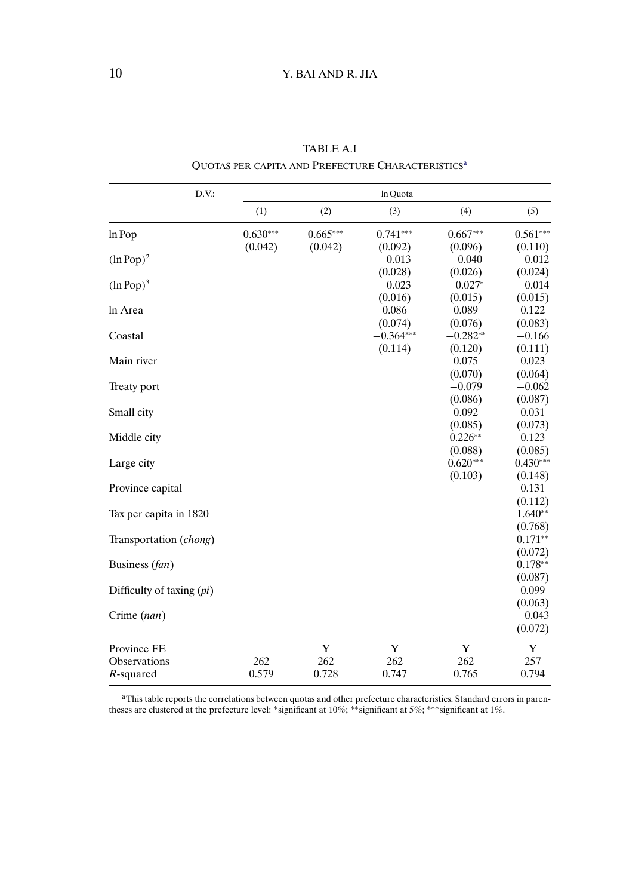| D.V.                        |            |            | In Quota               |                       |                                 |
|-----------------------------|------------|------------|------------------------|-----------------------|---------------------------------|
|                             | (1)        | (2)        | (3)                    | (4)                   | (5)                             |
| In Pop                      | $0.630***$ | $0.665***$ | $0.741***$             | $0.667***$            | $0.561***$                      |
| $(ln Pop)^2$                | (0.042)    | (0.042)    | (0.092)<br>$-0.013$    | (0.096)<br>$-0.040$   | (0.110)<br>$-0.012$             |
| $(ln Pop)^3$                |            |            | (0.028)<br>$-0.023$    | (0.026)<br>$-0.027*$  | (0.024)<br>$-0.014$             |
| In Area                     |            |            | (0.016)<br>0.086       | (0.015)<br>0.089      | (0.015)<br>0.122                |
| Coastal                     |            |            | (0.074)<br>$-0.364***$ | (0.076)<br>$-0.282**$ | (0.083)<br>$-0.166$             |
| Main river                  |            |            | (0.114)                | (0.120)<br>0.075      | (0.111)<br>0.023                |
| Treaty port                 |            |            |                        | (0.070)<br>$-0.079$   | (0.064)<br>$-0.062$             |
| Small city                  |            |            |                        | (0.086)<br>0.092      | (0.087)<br>0.031                |
| Middle city                 |            |            |                        | (0.085)<br>$0.226**$  | (0.073)<br>0.123                |
| Large city                  |            |            |                        | (0.088)<br>$0.620***$ | (0.085)<br>$0.430***$           |
| Province capital            |            |            |                        | (0.103)               | (0.148)<br>0.131<br>(0.112)     |
| Tax per capita in 1820      |            |            |                        |                       | $1.640**$                       |
| Transportation (chong)      |            |            |                        |                       | (0.768)<br>$0.171**$<br>(0.072) |
| Business (fan)              |            |            |                        |                       | $0.178**$<br>(0.087)            |
| Difficulty of taxing $pi)$  |            |            |                        |                       | 0.099                           |
| Crime (nan)                 |            |            |                        |                       | (0.063)<br>$-0.043$<br>(0.072)  |
| Province FE<br>Observations | 262        | Y<br>262   | Y<br>262               | Y<br>262              | Y<br>257                        |
| R-squared                   | 0.579      | 0.728      | 0.747                  | 0.765                 | 0.794                           |

TABLE A.I QUOTAS PER CAPITA AND PREFECTURE CHARACTERISTICS<sup>a</sup>

<sup>a</sup>This table reports the correlations between quotas and other prefecture characteristics. Standard errors in parentheses are clustered at the prefecture level: ∗significant at 10%; ∗∗significant at 5%; ∗∗∗significant at 1%.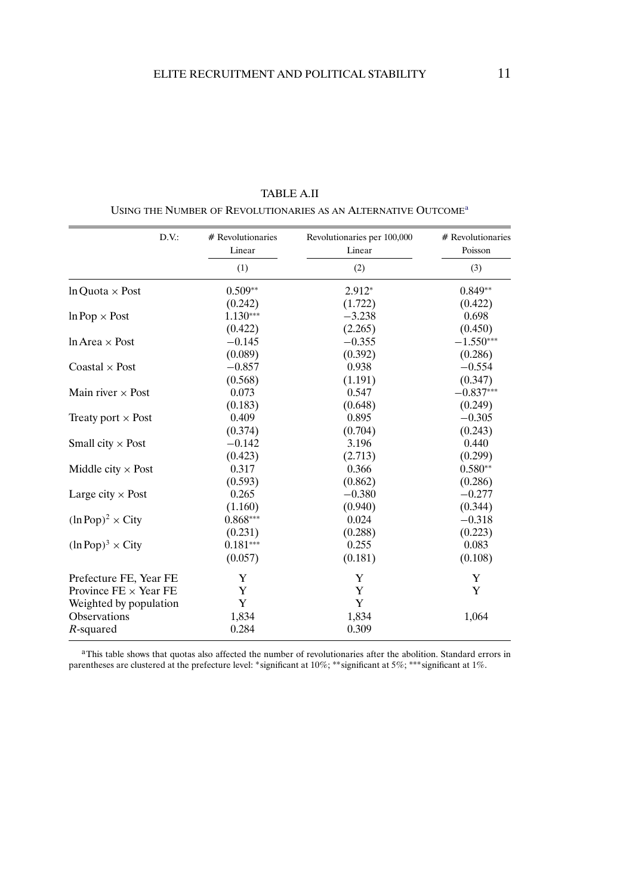| D.V.                                    | # Revolutionaries<br>Linear | Revolutionaries per 100,000<br>Linear | # Revolutionaries<br>Poisson |
|-----------------------------------------|-----------------------------|---------------------------------------|------------------------------|
|                                         | (1)                         | (2)                                   | (3)                          |
| $ln$ Ouota $\times$ Post                | $0.509**$                   | $2.912*$                              | $0.849**$                    |
|                                         | (0.242)                     | (1.722)                               | (0.422)                      |
| $ln Pop \times Post$                    | $1.130***$                  | $-3.238$                              | 0.698                        |
|                                         | (0.422)                     | (2.265)                               | (0.450)                      |
| $ln Area \times Post$                   | $-0.145$                    | $-0.355$                              | $-1.550***$                  |
|                                         | (0.089)                     | (0.392)                               | (0.286)                      |
| Coastal $\times$ Post                   | $-0.857$                    | 0.938                                 | $-0.554$                     |
|                                         | (0.568)                     | (1.191)                               | (0.347)                      |
| Main river $\times$ Post                | 0.073                       | 0.547                                 | $-0.837***$                  |
|                                         | (0.183)                     | (0.648)                               | (0.249)                      |
| Treaty port $\times$ Post               | 0.409                       | 0.895                                 | $-0.305$                     |
|                                         | (0.374)                     | (0.704)                               | (0.243)                      |
| Small city $\times$ Post                | $-0.142$                    | 3.196                                 | 0.440                        |
|                                         | (0.423)                     | (2.713)                               | (0.299)                      |
| Middle city $\times$ Post               | 0.317                       | 0.366                                 | $0.580**$                    |
|                                         | (0.593)                     | (0.862)                               | (0.286)                      |
| Large city $\times$ Post                | 0.265                       | $-0.380$                              | $-0.277$                     |
|                                         | (1.160)                     | (0.940)                               | (0.344)                      |
| $(\ln \text{Pop})^2 \times \text{City}$ | $0.868***$                  | 0.024                                 | $-0.318$                     |
|                                         | (0.231)                     | (0.288)                               | (0.223)                      |
| $(\ln \text{Pop})^3 \times \text{City}$ | $0.181***$                  | 0.255                                 | 0.083                        |
|                                         | (0.057)                     | (0.181)                               | (0.108)                      |
| Prefecture FE, Year FE                  | Y                           | Y                                     | Y                            |
| Province $FE \times Year$ FE            | Y                           | Y                                     | Y                            |
| Weighted by population                  | Y                           | Y                                     |                              |
| Observations                            | 1,834                       | 1,834                                 | 1,064                        |
| R-squared                               | 0.284                       | 0.309                                 |                              |

TABLE A.II USING THE NUMBER OF REVOLUTIONARIES AS AN ALTERNATIVE OUTCOMEa

<sup>a</sup>This table shows that quotas also affected the number of revolutionaries after the abolition. Standard errors in parentheses are clustered at the prefecture level: ∗significant at 10%; ∗∗significant at 5%; ∗∗∗significant at 1%.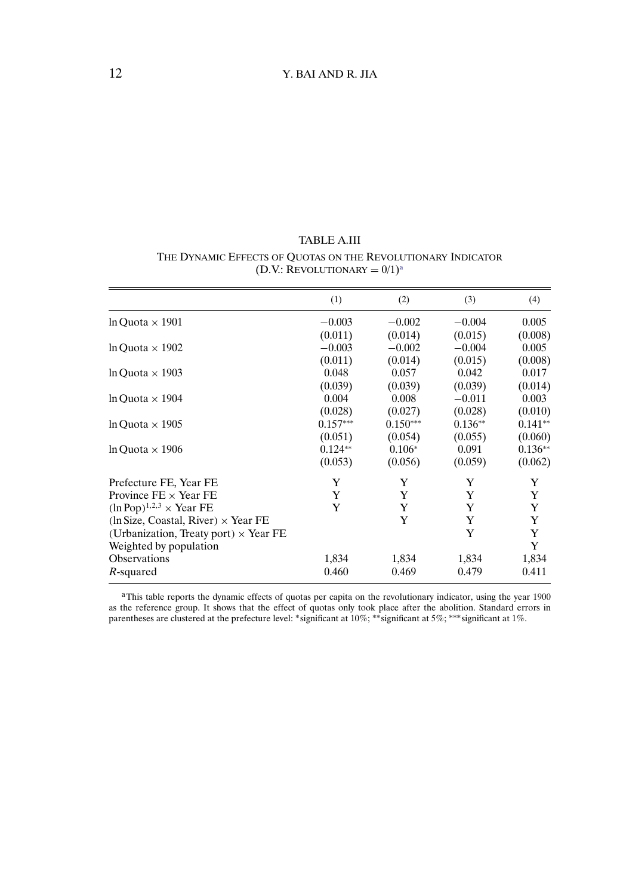TABLE A.III THE DYNAMIC EFFECTS OF QUOTAS ON THE REVOLUTIONARY INDICATOR (D.V.: REVOLUTIONARY =  $0/1$ )<sup>a</sup>

|                                                  | (1)        | (2)        | (3)       | (4)       |
|--------------------------------------------------|------------|------------|-----------|-----------|
| $ln$ Ouota $\times$ 1901                         | $-0.003$   | $-0.002$   | $-0.004$  | 0.005     |
|                                                  | (0.011)    | (0.014)    | (0.015)   | (0.008)   |
| $ln$ Ouota $\times$ 1902                         | $-0.003$   | $-0.002$   | $-0.004$  | 0.005     |
|                                                  | (0.011)    | (0.014)    | (0.015)   | (0.008)   |
| $ln$ Ouota $\times$ 1903                         | 0.048      | 0.057      | 0.042     | 0.017     |
|                                                  | (0.039)    | (0.039)    | (0.039)   | (0.014)   |
| $ln$ Ouota $\times$ 1904                         | 0.004      | 0.008      | $-0.011$  | 0.003     |
|                                                  | (0.028)    | (0.027)    | (0.028)   | (0.010)   |
| $ln$ Ouota $\times$ 1905                         | $0.157***$ | $0.150***$ | $0.136**$ | $0.141**$ |
|                                                  | (0.051)    | (0.054)    | (0.055)   | (0.060)   |
| $ln$ Ouota $\times$ 1906                         | $0.124**$  | $0.106*$   | 0.091     | $0.136**$ |
|                                                  | (0.053)    | (0.056)    | (0.059)   | (0.062)   |
| Prefecture FE, Year FE                           | Y          | Y          | Y         | Y         |
| Province $FE \times Year$ FE                     | Y          | Y          | Y         | Y         |
| $(\ln \text{Pop})^{1,2,3} \times \text{Year FE}$ | Y          | Y          | Y         | Y         |
| $(ln Size, Coastal, River) \times Year FE$       |            | Y          | Y         | Y         |
| (Urbanization, Treaty port) $\times$ Year FE     |            |            | Y         | Y         |
| Weighted by population                           |            |            |           | Y         |
| <b>Observations</b>                              | 1,834      | 1,834      | 1,834     | 1,834     |
| R-squared                                        | 0.460      | 0.469      | 0.479     | 0.411     |

aThis table reports the dynamic effects of quotas per capita on the revolutionary indicator, using the year 1900 as the reference group. It shows that the effect of quotas only took place after the abolition. Standard errors in parentheses are clustered at the prefecture level: ∗significant at 10%; ∗∗significant at 5%; ∗∗∗significant at 1%.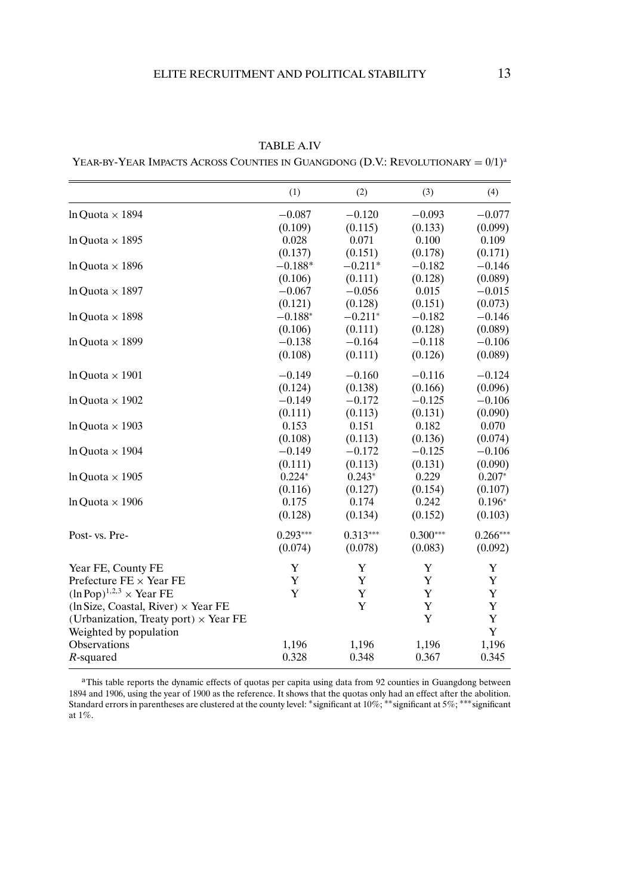|                                                  | (1)        | (2)        | (3)        | (4)        |
|--------------------------------------------------|------------|------------|------------|------------|
| In Ouota $\times$ 1894                           | $-0.087$   | $-0.120$   | $-0.093$   | $-0.077$   |
|                                                  | (0.109)    | (0.115)    | (0.133)    | (0.099)    |
| In Ouota $\times$ 1895                           | 0.028      | 0.071      | 0.100      | 0.109      |
|                                                  | (0.137)    | (0.151)    | (0.178)    | (0.171)    |
| $ln Quota \times 1896$                           | $-0.188*$  | $-0.211*$  | $-0.182$   | $-0.146$   |
|                                                  | (0.106)    | (0.111)    | (0.128)    | (0.089)    |
| In Ouota $\times$ 1897                           | $-0.067$   | $-0.056$   | 0.015      | $-0.015$   |
|                                                  | (0.121)    | (0.128)    | (0.151)    | (0.073)    |
| In Ouota $\times$ 1898                           | $-0.188*$  | $-0.211*$  | $-0.182$   | $-0.146$   |
|                                                  | (0.106)    | (0.111)    | (0.128)    | (0.089)    |
| In Ouota $\times$ 1899                           | $-0.138$   | $-0.164$   | $-0.118$   | $-0.106$   |
|                                                  | (0.108)    | (0.111)    | (0.126)    | (0.089)    |
| In Ouota $\times$ 1901                           | $-0.149$   | $-0.160$   | $-0.116$   | $-0.124$   |
|                                                  | (0.124)    | (0.138)    | (0.166)    | (0.096)    |
| In Ouota $\times$ 1902                           | $-0.149$   | $-0.172$   | $-0.125$   | $-0.106$   |
|                                                  | (0.111)    | (0.113)    | (0.131)    | (0.090)    |
| In Ouota $\times$ 1903                           | 0.153      | 0.151      | 0.182      | 0.070      |
|                                                  | (0.108)    | (0.113)    | (0.136)    | (0.074)    |
| In Ouota $\times$ 1904                           | $-0.149$   | $-0.172$   | $-0.125$   | $-0.106$   |
|                                                  | (0.111)    | (0.113)    | (0.131)    | (0.090)    |
| In Ouota $\times$ 1905                           | $0.224*$   | $0.243*$   | 0.229      | $0.207*$   |
|                                                  | (0.116)    | (0.127)    | (0.154)    | (0.107)    |
| In Ouota $\times$ 1906                           | 0.175      | 0.174      | 0.242      | $0.196*$   |
|                                                  | (0.128)    | (0.134)    | (0.152)    | (0.103)    |
| Post- vs. Pre-                                   | $0.293***$ | $0.313***$ | $0.300***$ | $0.266***$ |
|                                                  | (0.074)    | (0.078)    | (0.083)    | (0.092)    |
| Year FE, County FE                               | Y          | Y          | Y          | Y          |
| Prefecture $FE \times Year$ FE                   | Y          | Y          | Y          | Y          |
| $(\ln \text{Pop})^{1,2,3} \times \text{Year FE}$ | Y          | Y          | Y          | Y          |
| $(ln Size, Coastal, River) \times Year FE$       |            | Y          | Y          | Y          |
| (Urbanization, Treaty port) $\times$ Year FE     |            |            | Y          | Y          |
| Weighted by population                           |            |            |            | Y          |
| Observations                                     | 1,196      | 1,196      | 1,196      | 1,196      |
| $R$ -squared                                     | 0.328      | 0.348      | 0.367      | 0.345      |

TABLE A.IV

YEAR-BY-YEAR IMPACTS ACROSS COUNTIES IN GUANGDONG (D.V.: REVOLUTIONARY =  $0/1$ )<sup>a</sup>

<sup>a</sup>This table reports the dynamic effects of quotas per capita using data from 92 counties in Guangdong between 1894 and 1906, using the year of 1900 as the reference. It shows that the quotas only had an effect after the abolition. Standard errors in parentheses are clustered at the county level: ∗significant at 10%; ∗∗significant at 5%; ∗∗∗significant at 1%.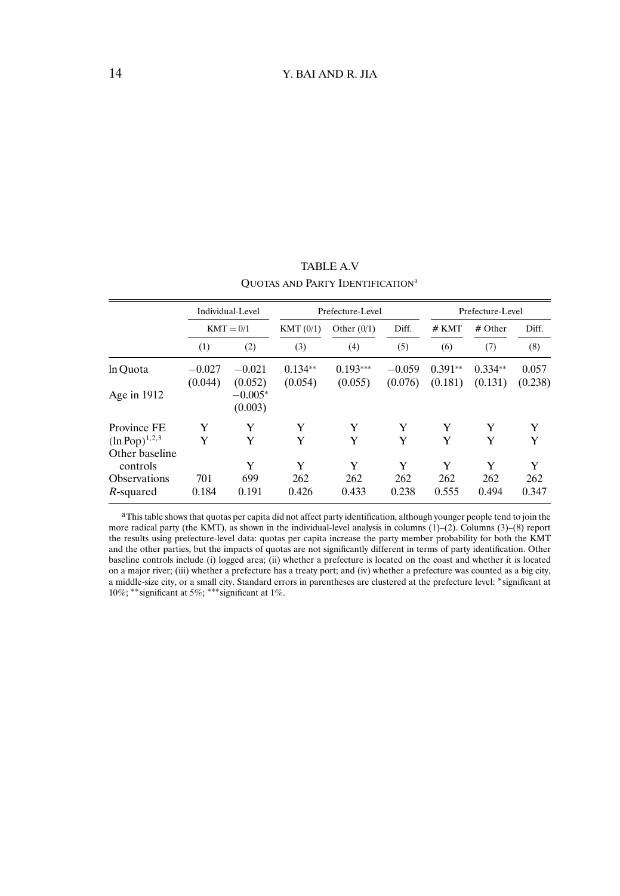<span id="page-13-0"></span>

|                     | Individual-Level<br>$KMT = 0/1$ |                      | Prefecture-Level     |                        |                     | Prefecture-Level     |                      |                  |
|---------------------|---------------------------------|----------------------|----------------------|------------------------|---------------------|----------------------|----------------------|------------------|
|                     |                                 |                      | KMT(0/1)             | Diff.<br>Other $(0/1)$ |                     | # KMT                | $#$ Other            | Diff.            |
|                     | (1)                             | (2)                  | (3)                  | (4)                    | (5)                 | (6)                  | (7)                  | (8)              |
| ln Ouota            | $-0.027$<br>(0.044)             | $-0.021$<br>(0.052)  | $0.134**$<br>(0.054) | $0.193***$<br>(0.055)  | $-0.059$<br>(0.076) | $0.391**$<br>(0.181) | $0.334**$<br>(0.131) | 0.057<br>(0.238) |
| Age in 1912         |                                 | $-0.005*$<br>(0.003) |                      |                        |                     |                      |                      |                  |
| Province FE         | Y                               | Y                    | Y                    | Y                      | Y                   | Y                    | Y                    | Y                |
| $(ln Pop)^{1,2,3}$  | Y                               | Y                    | Y                    | Y                      | Y                   | Y                    | Y                    | Y                |
| Other baseline      |                                 |                      |                      |                        |                     |                      |                      |                  |
| controls            |                                 | Y                    | Y                    | Y                      | Y                   | Y                    | Y                    | Y                |
| <b>Observations</b> | 701                             | 699                  | 262                  | 262                    | 262                 | 262                  | 262                  | 262              |
| R-squared           | 0.184                           | 0.191                | 0.426                | 0.433                  | 0.238               | 0.555                | 0.494                | 0.347            |

TABLE A.V QUOTAS AND PARTY IDENTIFICATION<sup>a</sup>

aThis table shows that quotas per capita did not affect party identification, although younger people tend to join the more radical party (the KMT), as shown in the individual-level analysis in columns  $(1)$ – $(2)$ . Columns  $(3)$ – $(8)$  report the results using prefecture-level data: quotas per capita increase the party member probability for both the KMT and the other parties, but the impacts of quotas are not significantly different in terms of party identification. Other baseline controls include (i) logged area; (ii) whether a prefecture is located on the coast and whether it is located on a major river; (iii) whether a prefecture has a treaty port; and (iv) whether a prefecture was counted as a big city, a middle-size city, or a small city. Standard errors in parentheses are clustered at the prefecture level: ∗significant at 10%; ∗∗significant at 5%; ∗∗∗significant at 1%.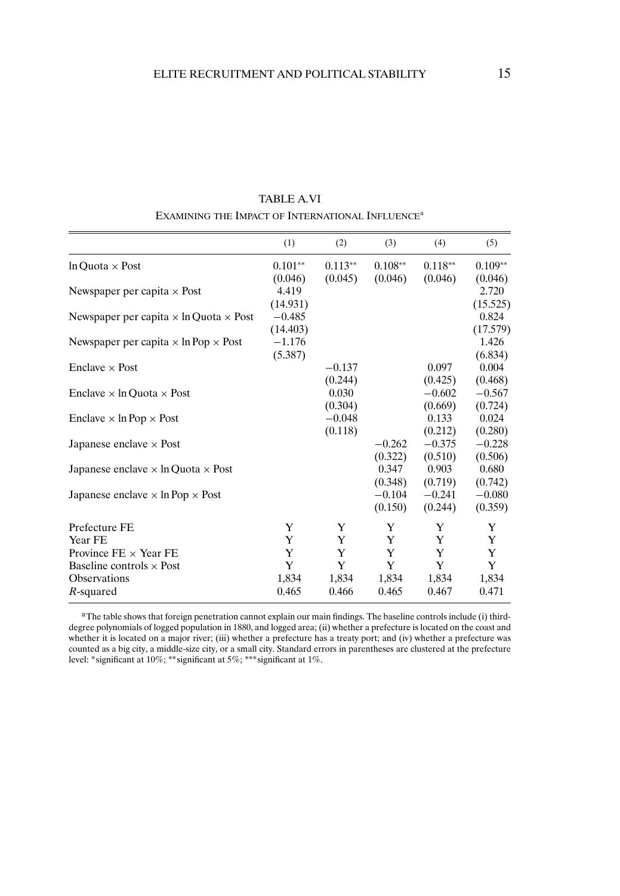|                                                      | (1)                             | (2)                 | (3)                            | (4)                            | (5)                            |
|------------------------------------------------------|---------------------------------|---------------------|--------------------------------|--------------------------------|--------------------------------|
| $ln$ Ouota $\times$ Post                             | $0.101**$                       | $0.113**$           | $0.108**$                      | $0.118**$                      | $0.109**$                      |
| Newspaper per capita $\times$ Post                   | (0.046)<br>4.419                | (0.045)             | (0.046)                        | (0.046)                        | (0.046)<br>2.720               |
| Newspaper per capita $\times$ ln Quota $\times$ Post | (14.931)<br>$-0.485$            |                     |                                |                                | (15.525)<br>0.824              |
| Newspaper per capita $\times$ ln Pop $\times$ Post   | (14.403)<br>$-1.176$<br>(5.387) |                     |                                |                                | (17.579)<br>1.426<br>(6.834)   |
| Enclave $\times$ Post                                |                                 | $-0.137$<br>(0.244) |                                | 0.097<br>(0.425)               | 0.004<br>(0.468)               |
| Enclave $\times$ In Ouota $\times$ Post              |                                 | 0.030<br>(0.304)    |                                | $-0.602$<br>(0.669)            | $-0.567$<br>(0.724)            |
| Enclave $\times$ ln Pop $\times$ Post                |                                 | $-0.048$            |                                | 0.133                          | 0.024                          |
| Japanese enclave $\times$ Post                       |                                 | (0.118)             | $-0.262$                       | (0.212)<br>$-0.375$            | (0.280)<br>$-0.228$            |
| Japanese enclave $\times$ ln Quota $\times$ Post     |                                 |                     | (0.322)<br>0.347               | (0.510)<br>0.903               | (0.506)<br>0.680               |
| Japanese enclave $\times$ ln Pop $\times$ Post       |                                 |                     | (0.348)<br>$-0.104$<br>(0.150) | (0.719)<br>$-0.241$<br>(0.244) | (0.742)<br>$-0.080$<br>(0.359) |
| Prefecture FE                                        | Y                               | Y                   | Y                              | Y                              | Y                              |
| Year FE                                              | Y                               | Y                   | Y                              | Y                              | Y                              |
| Province $FE \times Year$ FE                         | Y                               | Y                   | Y                              | Y                              | Y                              |
| Baseline controls $\times$ Post                      | Y                               | Y                   | Y                              | Y                              | Y                              |
| <b>Observations</b><br>$R$ -squared                  | 1,834<br>0.465                  | 1,834<br>0.466      | 1,834<br>0.465                 | 1,834<br>0.467                 | 1,834<br>0.471                 |

TABLE A.VI EXAMINING THE IMPACT OF INTERNATIONAL INFLUENCE<sup>a</sup>

<sup>a</sup>The table shows that foreign penetration cannot explain our main findings. The baseline controls include (i) thirddegree polynomials of logged population in 1880, and logged area; (ii) whether a prefecture is located on the coast and whether it is located on a major river; (iii) whether a prefecture has a treaty port; and (iv) whether a prefecture was counted as a big city, a middle-size city, or a small city. Standard errors in parentheses are clustered at the prefecture level: ∗significant at 10%; ∗∗significant at 5%; ∗∗∗significant at 1%.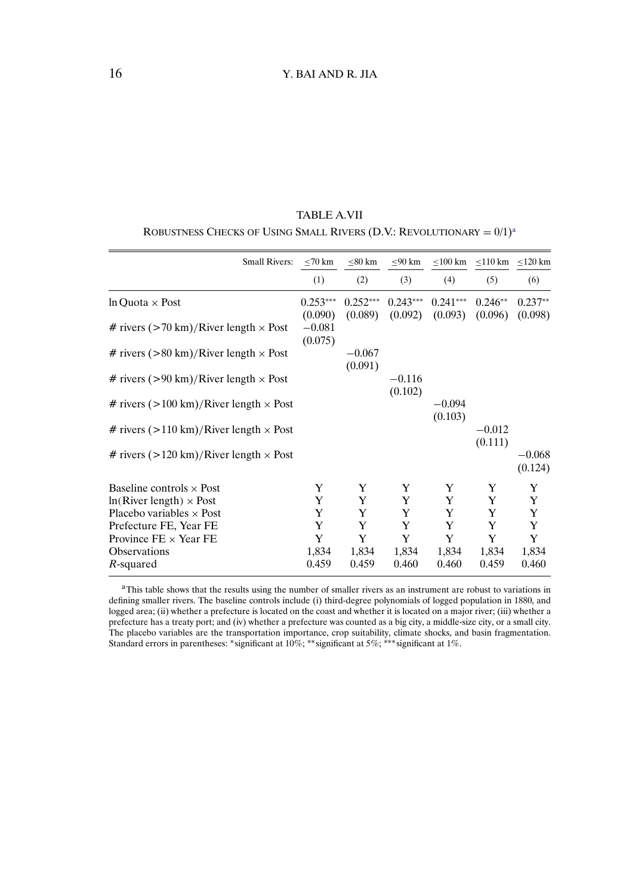<span id="page-15-0"></span>

| TABLE A.VII                                                                       |
|-----------------------------------------------------------------------------------|
| ROBUSTNESS CHECKS OF USING SMALL RIVERS (D.V.: REVOLUTIONARY = $0/1$ <sup>a</sup> |

| <b>Small Rivers:</b>                                     | $\leq 70$ km          | $\leq 80$ km          | $\leq 90$ km          |                       | $\leq$ 100 km $\leq$ 110 km $\leq$ 120 km |                      |
|----------------------------------------------------------|-----------------------|-----------------------|-----------------------|-----------------------|-------------------------------------------|----------------------|
|                                                          | (1)                   | (2)                   | (3)                   | (4)                   | (5)                                       | (6)                  |
| $ln Quota \times Post$                                   | $0.253***$<br>(0.090) | $0.252***$<br>(0.089) | $0.243***$<br>(0.092) | $0.241***$<br>(0.093) | $0.246**$<br>(0.096)                      | $0.237**$<br>(0.098) |
| # rivers $(>70 \text{ km})$ /River length $\times$ Post  | $-0.081$<br>(0.075)   |                       |                       |                       |                                           |                      |
| # rivers $(>80 \text{ km})$ /River length $\times$ Post  |                       | $-0.067$<br>(0.091)   |                       |                       |                                           |                      |
| # rivers $(>90 \text{ km})$ /River length $\times$ Post  |                       |                       | $-0.116$<br>(0.102)   |                       |                                           |                      |
| # rivers $(>100 \text{ km})$ /River length $\times$ Post |                       |                       |                       | $-0.094$<br>(0.103)   |                                           |                      |
| # rivers $(>110 \text{ km})$ /River length $\times$ Post |                       |                       |                       |                       | $-0.012$<br>(0.111)                       |                      |
| # rivers $(>120 \text{ km})$ /River length $\times$ Post |                       |                       |                       |                       |                                           | $-0.068$<br>(0.124)  |
| Baseline controls $\times$ Post                          | Y                     | Y                     | Y                     | Y                     | Y                                         | Y                    |
| $ln(River length) \times Post$                           | Y                     | Y                     | Y                     | Y                     | Y                                         | Y                    |
| Placebo variables $\times$ Post                          | Y                     | Y                     | Y                     | Y                     | Y                                         | Y                    |
| Prefecture FE, Year FE                                   | Y                     | Y                     | Y                     | Y                     | Y                                         | Y                    |
| Province $FE \times Year$ FE                             | Y                     | Y                     | Y                     | Y                     | Y                                         | Y                    |
| <b>Observations</b>                                      | 1,834                 | 1,834                 | 1,834                 | 1,834                 | 1,834                                     | 1,834                |
| R-squared                                                | 0.459                 | 0.459                 | 0.460                 | 0.460                 | 0.459                                     | 0.460                |

<sup>&</sup>lt;sup>a</sup>This table shows that the results using the number of smaller rivers as an instrument are robust to variations in defining smaller rivers. The baseline controls include (i) third-degree polynomials of logged population in 1880, and logged area; (ii) whether a prefecture is located on the coast and whether it is located on a major river; (iii) whether a prefecture has a treaty port; and (iv) whether a prefecture was counted as a big city, a middle-size city, or a small city. The placebo variables are the transportation importance, crop suitability, climate shocks, and basin fragmentation. Standard errors in parentheses: ∗significant at 10%; ∗∗significant at 5%; ∗∗∗significant at 1%.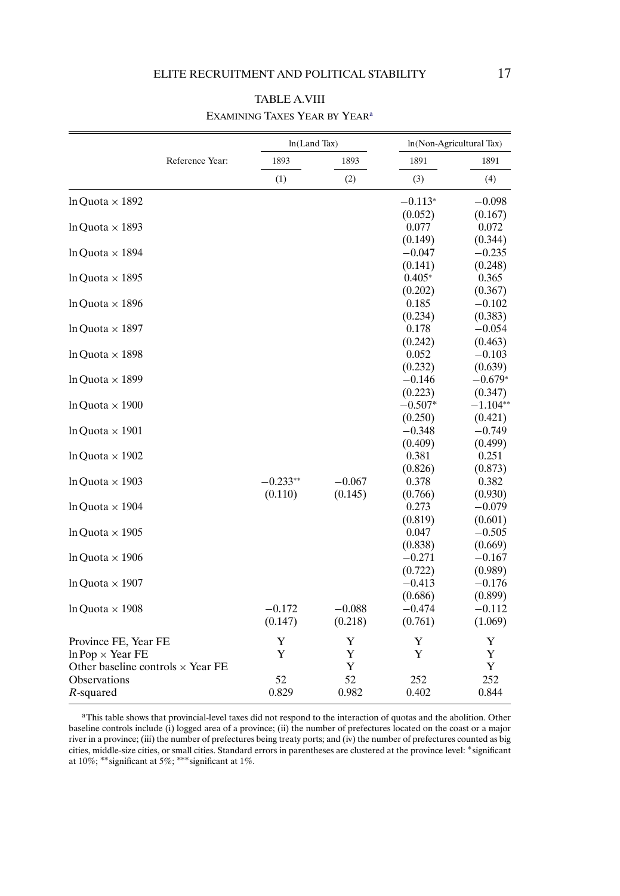|                                          |                 | In(Land Tax) |          |                     | ln(Non-Agricultural Tax) |  |  |
|------------------------------------------|-----------------|--------------|----------|---------------------|--------------------------|--|--|
|                                          | Reference Year: | 1893         | 1893     | 1891                | 1891                     |  |  |
|                                          |                 | (1)          | (2)      | (3)                 | (4)                      |  |  |
| In Ouota $\times$ 1892                   |                 |              |          | $-0.113*$           | $-0.098$                 |  |  |
|                                          |                 |              |          | (0.052)             | (0.167)                  |  |  |
| In Ouota $\times$ 1893                   |                 |              |          | 0.077               | 0.072                    |  |  |
|                                          |                 |              |          | (0.149)             | (0.344)                  |  |  |
| $ln$ Ouota $\times$ 1894                 |                 |              |          | $-0.047$<br>(0.141) | $-0.235$<br>(0.248)      |  |  |
| In Ouota $\times$ 1895                   |                 |              |          | $0.405*$            | 0.365                    |  |  |
|                                          |                 |              |          | (0.202)             | (0.367)                  |  |  |
| $ln$ Ouota $\times$ 1896                 |                 |              |          | 0.185               | $-0.102$                 |  |  |
|                                          |                 |              |          | (0.234)             | (0.383)                  |  |  |
| $ln$ Ouota $\times$ 1897                 |                 |              |          | 0.178               | $-0.054$                 |  |  |
|                                          |                 |              |          | (0.242)             | (0.463)                  |  |  |
| In Ouota $\times$ 1898                   |                 |              |          | 0.052               | $-0.103$                 |  |  |
|                                          |                 |              |          | (0.232)             | (0.639)                  |  |  |
| $ln$ Ouota $\times$ 1899                 |                 |              |          | $-0.146$            | $-0.679*$                |  |  |
|                                          |                 |              |          | (0.223)             | (0.347)                  |  |  |
| In Ouota $\times$ 1900                   |                 |              |          | $-0.507*$           | $-1.104**$               |  |  |
|                                          |                 |              |          | (0.250)             | (0.421)                  |  |  |
| $ln$ Ouota $\times$ 1901                 |                 |              |          | $-0.348$            | $-0.749$                 |  |  |
| $ln$ Ouota $\times$ 1902                 |                 |              |          | (0.409)<br>0.381    | (0.499)<br>0.251         |  |  |
|                                          |                 |              |          | (0.826)             | (0.873)                  |  |  |
| In Ouota $\times$ 1903                   |                 | $-0.233**$   | $-0.067$ | 0.378               | 0.382                    |  |  |
|                                          |                 | (0.110)      | (0.145)  | (0.766)             | (0.930)                  |  |  |
| In Ouota $\times$ 1904                   |                 |              |          | 0.273               | $-0.079$                 |  |  |
|                                          |                 |              |          | (0.819)             | (0.601)                  |  |  |
| In Ouota $\times$ 1905                   |                 |              |          | 0.047               | $-0.505$                 |  |  |
|                                          |                 |              |          | (0.838)             | (0.669)                  |  |  |
| $ln$ Ouota $\times$ 1906                 |                 |              |          | $-0.271$            | $-0.167$                 |  |  |
|                                          |                 |              |          | (0.722)             | (0.989)                  |  |  |
| In Ouota $\times$ 1907                   |                 |              |          | $-0.413$            | $-0.176$                 |  |  |
|                                          |                 |              |          | (0.686)             | (0.899)                  |  |  |
| In Ouota $\times$ 1908                   |                 | $-0.172$     | $-0.088$ | $-0.474$            | $-0.112$                 |  |  |
|                                          |                 | (0.147)      | (0.218)  | (0.761)             | (1.069)                  |  |  |
| Province FE, Year FE                     |                 | Y            | Y        | Y                   | Y                        |  |  |
| $ln Pop \times Year FE$                  |                 | Y            | Y        | Y                   | Y                        |  |  |
| Other baseline controls $\times$ Year FE |                 |              | Y        |                     | Y                        |  |  |
| Observations                             |                 | 52           | 52       | 252                 | 252                      |  |  |
| R-squared                                |                 | 0.829        | 0.982    | 0.402               | 0.844                    |  |  |

# TABLE A.VIII EXAMINING TAXES YEAR BY YEAR<sup>a</sup>

<sup>a</sup>This table shows that provincial-level taxes did not respond to the interaction of quotas and the abolition. Other baseline controls include (i) logged area of a province; (ii) the number of prefectures located on the coast or a major river in a province; (iii) the number of prefectures being treaty ports; and (iv) the number of prefectures counted as big cities, middle-size cities, or small cities. Standard errors in parentheses are clustered at the province level: ∗significant at  $10\%$ ; \*\*significant at 5%; \*\*\*significant at 1%.